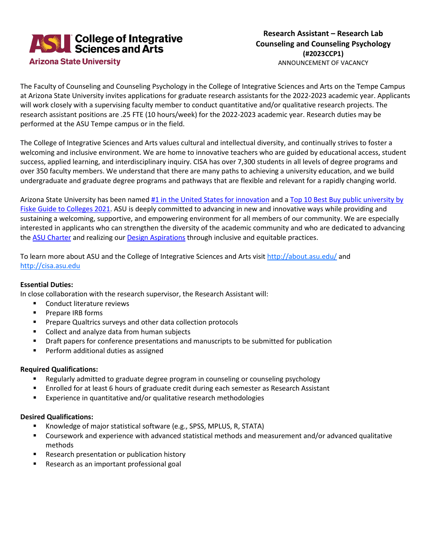

The Faculty of Counseling and Counseling Psychology in the College of Integrative Sciences and Arts on the Tempe Campus at Arizona State University invites applications for graduate research assistants for the 2022-2023 academic year. Applicants will work closely with a supervising faculty member to conduct quantitative and/or qualitative research projects. The research assistant positions are .25 FTE (10 hours/week) for the 2022-2023 academic year. Research duties may be performed at the ASU Tempe campus or in the field.

The College of Integrative Sciences and Arts values cultural and intellectual diversity, and continually strives to foster a welcoming and inclusive environment. We are home to innovative teachers who are guided by educational access, student success, applied learning, and interdisciplinary inquiry. CISA has over 7,300 students in all levels of degree programs and over 350 faculty members. We understand that there are many paths to achieving a university education, and we build undergraduate and graduate degree programs and pathways that are flexible and relevant for a rapidly changing world.

Arizona State University has been named [#1 in the United States for innovation](https://start.asuonline.asu.edu/why-asu-online/) and a [Top 10 Best Buy public university by](https://csteps.asu.edu/asu-among-top-10-%E2%80%98best-buy%E2%80%99-public-schools-latest-fiske-guide-colleges)  [Fiske Guide to Colleges 2021.](https://csteps.asu.edu/asu-among-top-10-%E2%80%98best-buy%E2%80%99-public-schools-latest-fiske-guide-colleges) ASU is deeply committed to advancing in new and innovative ways while providing and sustaining a welcoming, supportive, and empowering environment for all members of our community. We are especially interested in applicants who can strengthen the diversity of the academic community and who are dedicated to advancing the ASU [Charter](https://www.asu.edu/about/charter-mission) and realizing our Design [Aspirations](https://newamericanuniversity.asu.edu/about/design-aspirations) through inclusive and equitable practices.

To learn more about ASU and the College of Integrative Sciences and Arts visi[t http://about.asu.edu/](http://about.asu.edu/) and [http://cisa.asu.edu](http://cisa.asu.edu/)

## **Essential Duties:**

In close collaboration with the research supervisor, the Research Assistant will:

- **EXECONDUCT LITE CONDUCT LITE CONDUCT LITE CONDUCT**
- **Prepare IRB forms**
- **Prepare Qualtrics surveys and other data collection protocols**
- Collect and analyze data from human subjects
- **•** Draft papers for conference presentations and manuscripts to be submitted for publication
- **Perform additional duties as assigned**

## **Required Qualifications:**

- Regularly admitted to graduate degree program in counseling or counseling psychology
- **Enrolled for at least 6 hours of graduate credit during each semester as Research Assistant**
- **EXPERIEGE 2018** Experience in quantitative and/or qualitative research methodologies

## **Desired Qualifications:**

- Knowledge of major statistical software (e.g., SPSS, MPLUS, R, STATA)
- Coursework and experience with advanced statistical methods and measurement and/or advanced qualitative methods
- **Research presentation or publication history**
- Research as an important professional goal